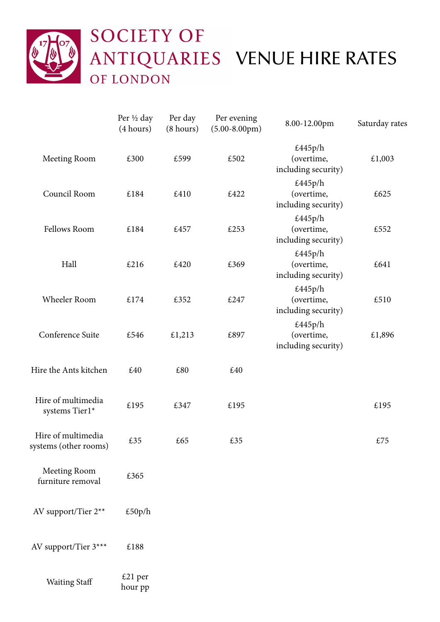

|                                             | Per ½ day<br>(4 hours) | Per day<br>(8 hours) | Per evening<br>$(5.00-8.00 \text{pm})$ | 8.00-12.00pm                                 | Saturday rates |
|---------------------------------------------|------------------------|----------------------|----------------------------------------|----------------------------------------------|----------------|
| Meeting Room                                | £300                   | £599                 | £502                                   | £445p/h<br>(overtime,<br>including security) | £1,003         |
| Council Room                                | £184                   | £410                 | £422                                   | £445p/h<br>(overtime,<br>including security) | £625           |
| Fellows Room                                | £184                   | £457                 | £253                                   | £445p/h<br>(overtime,<br>including security) | £552           |
| Hall                                        | £216                   | £420                 | £369                                   | £445p/h<br>(overtime,<br>including security) | £641           |
| Wheeler Room                                | £174                   | £352                 | £247                                   | £445p/h<br>(overtime,<br>including security) | £510           |
| Conference Suite                            | £546                   | £1,213               | £897                                   | £445p/h<br>(overtime,<br>including security) | £1,896         |
| Hire the Ants kitchen                       | £40                    | £80                  | £40                                    |                                              |                |
| Hire of multimedia<br>systems Tier1*        | £195                   | £347                 | £195                                   |                                              | £195           |
| Hire of multimedia<br>systems (other rooms) | £35                    | £65                  | £35                                    |                                              | £75            |
| Meeting Room<br>furniture removal           | £365                   |                      |                                        |                                              |                |
| AV support/Tier 2**                         | £50p/h                 |                      |                                        |                                              |                |
| AV support/Tier 3***                        | £188                   |                      |                                        |                                              |                |
| <b>Waiting Staff</b>                        | £21 per<br>hour pp     |                      |                                        |                                              |                |